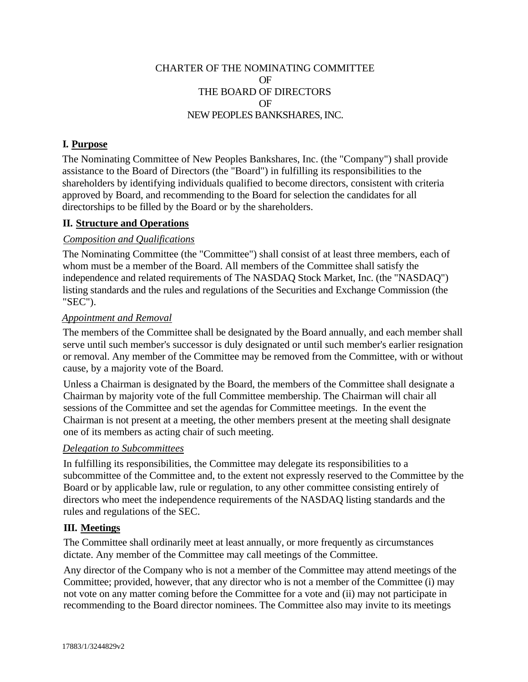## CHARTER OF THE NOMINATING COMMITTEE OF THE BOARD OF DIRECTORS OF NEW PEOPLES BANKSHARES, INC.

# **I. Purpose**

The Nominating Committee of New Peoples Bankshares, Inc. (the "Company") shall provide assistance to the Board of Directors (the "Board") in fulfilling its responsibilities to the shareholders by identifying individuals qualified to become directors, consistent with criteria approved by Board, and recommending to the Board for selection the candidates for all directorships to be filled by the Board or by the shareholders.

## **II. Structure and Operations**

## *Composition and Qualifications*

The Nominating Committee (the "Committee") shall consist of at least three members, each of whom must be a member of the Board. All members of the Committee shall satisfy the independence and related requirements of The NASDAQ Stock Market, Inc. (the "NASDAQ") listing standards and the rules and regulations of the Securities and Exchange Commission (the "SEC").

#### *Appointment and Removal*

The members of the Committee shall be designated by the Board annually, and each member shall serve until such member's successor is duly designated or until such member's earlier resignation or removal. Any member of the Committee may be removed from the Committee, with or without cause, by a majority vote of the Board.

Unless a Chairman is designated by the Board, the members of the Committee shall designate a Chairman by majority vote of the full Committee membership. The Chairman will chair all sessions of the Committee and set the agendas for Committee meetings. In the event the Chairman is not present at a meeting, the other members present at the meeting shall designate one of its members as acting chair of such meeting.

#### *Delegation to Subcommittees*

In fulfilling its responsibilities, the Committee may delegate its responsibilities to a subcommittee of the Committee and, to the extent not expressly reserved to the Committee by the Board or by applicable law, rule or regulation, to any other committee consisting entirely of directors who meet the independence requirements of the NASDAQ listing standards and the rules and regulations of the SEC.

#### **III. Meetings**

The Committee shall ordinarily meet at least annually, or more frequently as circumstances dictate. Any member of the Committee may call meetings of the Committee.

Any director of the Company who is not a member of the Committee may attend meetings of the Committee; provided, however, that any director who is not a member of the Committee (i) may not vote on any matter coming before the Committee for a vote and (ii) may not participate in recommending to the Board director nominees. The Committee also may invite to its meetings